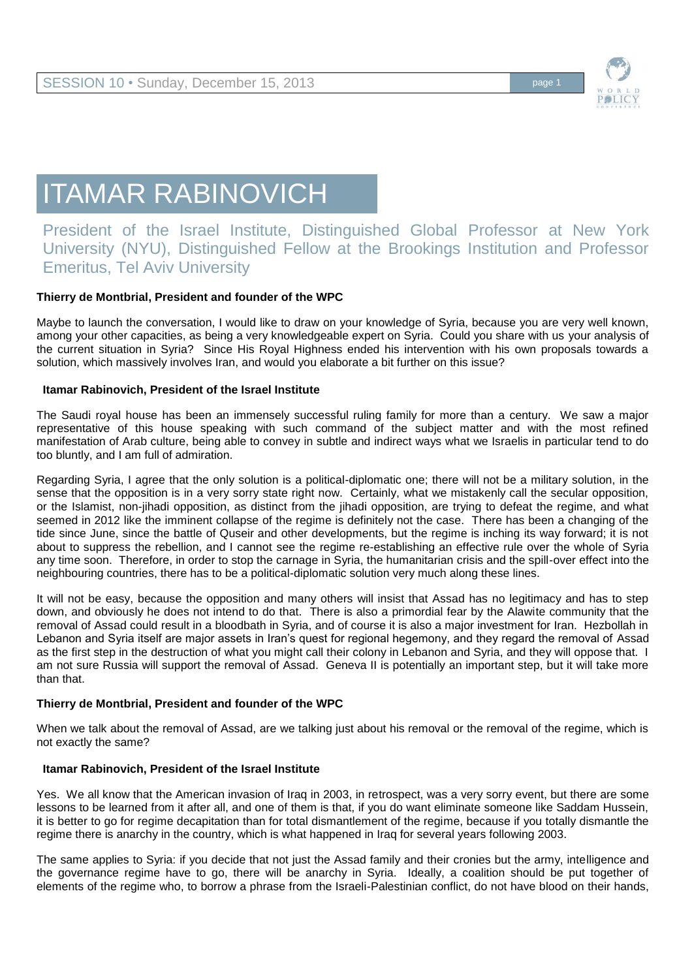

# ITAMAR RABINOVICH

# President of the Israel Institute, Distinguished Global Professor at New York University (NYU), Distinguished Fellow at the Brookings Institution and Professor Emeritus, Tel Aviv University

# **Thierry de Montbrial, President and founder of the WPC**

Maybe to launch the conversation, I would like to draw on your knowledge of Syria, because you are very well known, among your other capacities, as being a very knowledgeable expert on Syria. Could you share with us your analysis of the current situation in Syria? Since His Royal Highness ended his intervention with his own proposals towards a solution, which massively involves Iran, and would you elaborate a bit further on this issue?

#### **Itamar Rabinovich, President of the Israel Institute**

The Saudi royal house has been an immensely successful ruling family for more than a century. We saw a major representative of this house speaking with such command of the subject matter and with the most refined manifestation of Arab culture, being able to convey in subtle and indirect ways what we Israelis in particular tend to do too bluntly, and I am full of admiration.

Regarding Syria, I agree that the only solution is a political-diplomatic one; there will not be a military solution, in the sense that the opposition is in a very sorry state right now. Certainly, what we mistakenly call the secular opposition, or the Islamist, non-jihadi opposition, as distinct from the jihadi opposition, are trying to defeat the regime, and what seemed in 2012 like the imminent collapse of the regime is definitely not the case. There has been a changing of the tide since June, since the battle of Quseir and other developments, but the regime is inching its way forward; it is not about to suppress the rebellion, and I cannot see the regime re-establishing an effective rule over the whole of Syria any time soon. Therefore, in order to stop the carnage in Syria, the humanitarian crisis and the spill-over effect into the neighbouring countries, there has to be a political-diplomatic solution very much along these lines.

It will not be easy, because the opposition and many others will insist that Assad has no legitimacy and has to step down, and obviously he does not intend to do that. There is also a primordial fear by the Alawite community that the removal of Assad could result in a bloodbath in Syria, and of course it is also a major investment for Iran. Hezbollah in Lebanon and Syria itself are major assets in Iran's quest for regional hegemony, and they regard the removal of Assad as the first step in the destruction of what you might call their colony in Lebanon and Syria, and they will oppose that. I am not sure Russia will support the removal of Assad. Geneva II is potentially an important step, but it will take more than that.

# **Thierry de Montbrial, President and founder of the WPC**

When we talk about the removal of Assad, are we talking just about his removal or the removal of the regime, which is not exactly the same?

# **Itamar Rabinovich, President of the Israel Institute**

Yes. We all know that the American invasion of Iraq in 2003, in retrospect, was a very sorry event, but there are some lessons to be learned from it after all, and one of them is that, if you do want eliminate someone like Saddam Hussein, it is better to go for regime decapitation than for total dismantlement of the regime, because if you totally dismantle the regime there is anarchy in the country, which is what happened in Iraq for several years following 2003.

The same applies to Syria: if you decide that not just the Assad family and their cronies but the army, intelligence and the governance regime have to go, there will be anarchy in Syria. Ideally, a coalition should be put together of elements of the regime who, to borrow a phrase from the Israeli-Palestinian conflict, do not have blood on their hands,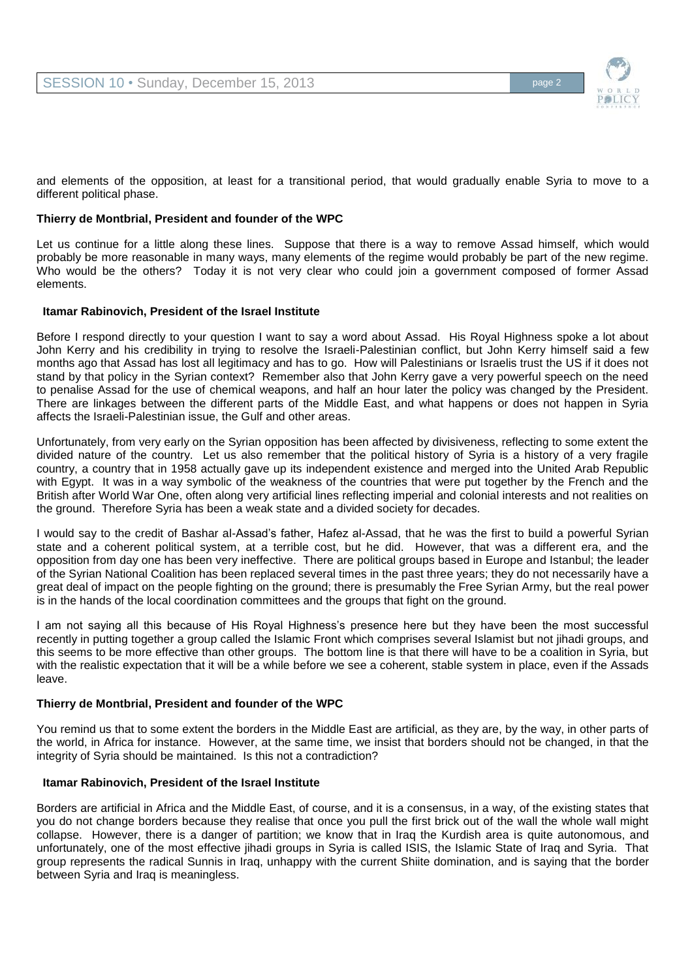

and elements of the opposition, at least for a transitional period, that would gradually enable Syria to move to a different political phase.

### **Thierry de Montbrial, President and founder of the WPC**

Let us continue for a little along these lines. Suppose that there is a way to remove Assad himself, which would probably be more reasonable in many ways, many elements of the regime would probably be part of the new regime. Who would be the others? Today it is not very clear who could join a government composed of former Assad elements.

#### **Itamar Rabinovich, President of the Israel Institute**

Before I respond directly to your question I want to say a word about Assad. His Royal Highness spoke a lot about John Kerry and his credibility in trying to resolve the Israeli-Palestinian conflict, but John Kerry himself said a few months ago that Assad has lost all legitimacy and has to go. How will Palestinians or Israelis trust the US if it does not stand by that policy in the Syrian context? Remember also that John Kerry gave a very powerful speech on the need to penalise Assad for the use of chemical weapons, and half an hour later the policy was changed by the President. There are linkages between the different parts of the Middle East, and what happens or does not happen in Syria affects the Israeli-Palestinian issue, the Gulf and other areas.

Unfortunately, from very early on the Syrian opposition has been affected by divisiveness, reflecting to some extent the divided nature of the country. Let us also remember that the political history of Syria is a history of a very fragile country, a country that in 1958 actually gave up its independent existence and merged into the United Arab Republic with Egypt. It was in a way symbolic of the weakness of the countries that were put together by the French and the British after World War One, often along very artificial lines reflecting imperial and colonial interests and not realities on the ground. Therefore Syria has been a weak state and a divided society for decades.

I would say to the credit of Bashar al-Assad's father, Hafez al-Assad, that he was the first to build a powerful Syrian state and a coherent political system, at a terrible cost, but he did. However, that was a different era, and the opposition from day one has been very ineffective. There are political groups based in Europe and Istanbul; the leader of the Syrian National Coalition has been replaced several times in the past three years; they do not necessarily have a great deal of impact on the people fighting on the ground; there is presumably the Free Syrian Army, but the real power is in the hands of the local coordination committees and the groups that fight on the ground.

I am not saying all this because of His Royal Highness's presence here but they have been the most successful recently in putting together a group called the Islamic Front which comprises several Islamist but not jihadi groups, and this seems to be more effective than other groups. The bottom line is that there will have to be a coalition in Syria, but with the realistic expectation that it will be a while before we see a coherent, stable system in place, even if the Assads leave.

#### **Thierry de Montbrial, President and founder of the WPC**

You remind us that to some extent the borders in the Middle East are artificial, as they are, by the way, in other parts of the world, in Africa for instance. However, at the same time, we insist that borders should not be changed, in that the integrity of Syria should be maintained. Is this not a contradiction?

#### **Itamar Rabinovich, President of the Israel Institute**

Borders are artificial in Africa and the Middle East, of course, and it is a consensus, in a way, of the existing states that you do not change borders because they realise that once you pull the first brick out of the wall the whole wall might collapse. However, there is a danger of partition; we know that in Iraq the Kurdish area is quite autonomous, and unfortunately, one of the most effective jihadi groups in Syria is called ISIS, the Islamic State of Iraq and Syria. That group represents the radical Sunnis in Iraq, unhappy with the current Shiite domination, and is saying that the border between Syria and Iraq is meaningless.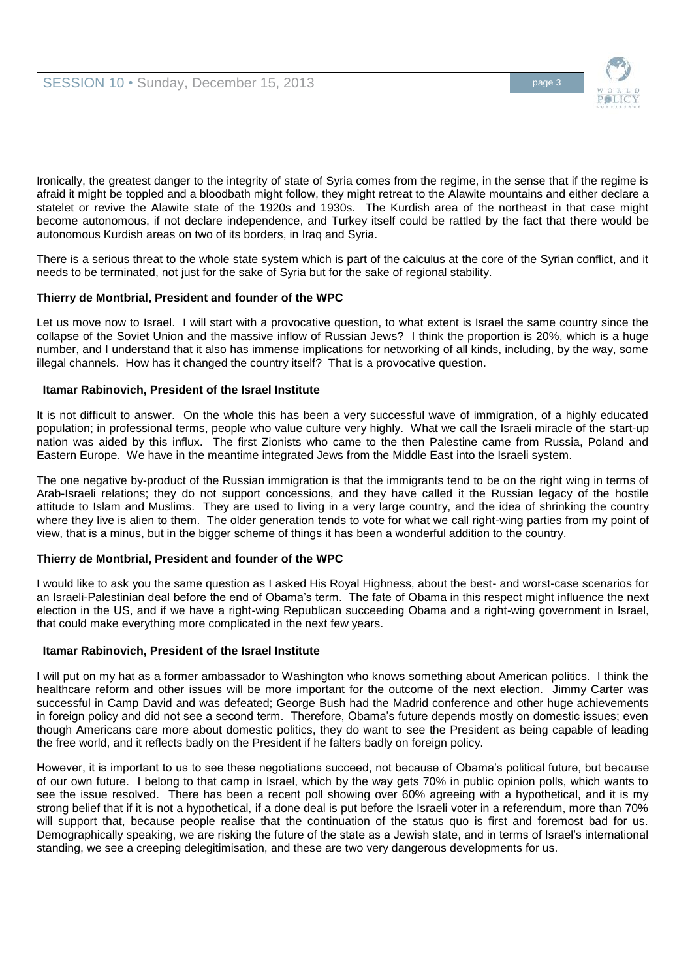

Ironically, the greatest danger to the integrity of state of Syria comes from the regime, in the sense that if the regime is afraid it might be toppled and a bloodbath might follow, they might retreat to the Alawite mountains and either declare a statelet or revive the Alawite state of the 1920s and 1930s. The Kurdish area of the northeast in that case might become autonomous, if not declare independence, and Turkey itself could be rattled by the fact that there would be autonomous Kurdish areas on two of its borders, in Iraq and Syria.

There is a serious threat to the whole state system which is part of the calculus at the core of the Syrian conflict, and it needs to be terminated, not just for the sake of Syria but for the sake of regional stability.

#### **Thierry de Montbrial, President and founder of the WPC**

Let us move now to Israel. I will start with a provocative question, to what extent is Israel the same country since the collapse of the Soviet Union and the massive inflow of Russian Jews? I think the proportion is 20%, which is a huge number, and I understand that it also has immense implications for networking of all kinds, including, by the way, some illegal channels. How has it changed the country itself? That is a provocative question.

#### **Itamar Rabinovich, President of the Israel Institute**

It is not difficult to answer. On the whole this has been a very successful wave of immigration, of a highly educated population; in professional terms, people who value culture very highly. What we call the Israeli miracle of the start-up nation was aided by this influx. The first Zionists who came to the then Palestine came from Russia, Poland and Eastern Europe. We have in the meantime integrated Jews from the Middle East into the Israeli system.

The one negative by-product of the Russian immigration is that the immigrants tend to be on the right wing in terms of Arab-Israeli relations; they do not support concessions, and they have called it the Russian legacy of the hostile attitude to Islam and Muslims. They are used to living in a very large country, and the idea of shrinking the country where they live is alien to them. The older generation tends to vote for what we call right-wing parties from my point of view, that is a minus, but in the bigger scheme of things it has been a wonderful addition to the country.

# **Thierry de Montbrial, President and founder of the WPC**

I would like to ask you the same question as I asked His Royal Highness, about the best- and worst-case scenarios for an Israeli-Palestinian deal before the end of Obama's term. The fate of Obama in this respect might influence the next election in the US, and if we have a right-wing Republican succeeding Obama and a right-wing government in Israel, that could make everything more complicated in the next few years.

# **Itamar Rabinovich, President of the Israel Institute**

I will put on my hat as a former ambassador to Washington who knows something about American politics. I think the healthcare reform and other issues will be more important for the outcome of the next election. Jimmy Carter was successful in Camp David and was defeated; George Bush had the Madrid conference and other huge achievements in foreign policy and did not see a second term. Therefore, Obama's future depends mostly on domestic issues; even though Americans care more about domestic politics, they do want to see the President as being capable of leading the free world, and it reflects badly on the President if he falters badly on foreign policy.

However, it is important to us to see these negotiations succeed, not because of Obama's political future, but because of our own future. I belong to that camp in Israel, which by the way gets 70% in public opinion polls, which wants to see the issue resolved. There has been a recent poll showing over 60% agreeing with a hypothetical, and it is my strong belief that if it is not a hypothetical, if a done deal is put before the Israeli voter in a referendum, more than 70% will support that, because people realise that the continuation of the status quo is first and foremost bad for us. Demographically speaking, we are risking the future of the state as a Jewish state, and in terms of Israel's international standing, we see a creeping delegitimisation, and these are two very dangerous developments for us.